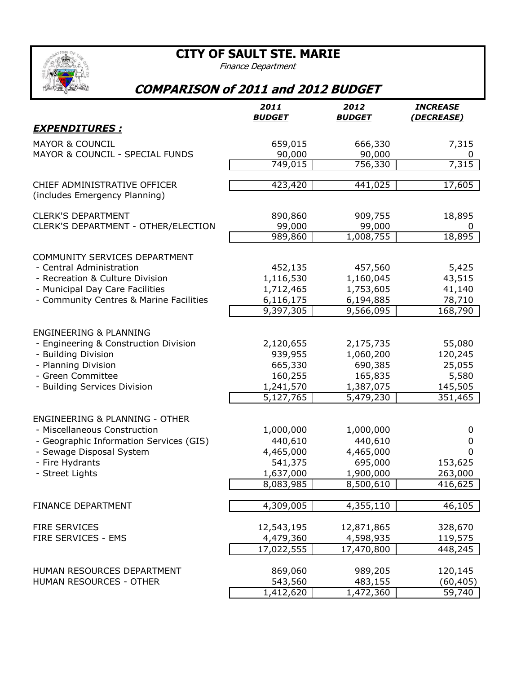## **CITY OF SAULT STE. MARIE**

Finance Department

## **COMPARISON of 2011 and 2012 BUDGET**

|                                                                                                                                                                                        | 2011<br><b>BUDGET</b>                                                  | 2012<br><b>BUDGET</b>                                                  | <b>INCREASE</b><br><u>(DECREASE)</u>                       |
|----------------------------------------------------------------------------------------------------------------------------------------------------------------------------------------|------------------------------------------------------------------------|------------------------------------------------------------------------|------------------------------------------------------------|
| <u>EXPENDITURES :</u>                                                                                                                                                                  |                                                                        |                                                                        |                                                            |
| <b>MAYOR &amp; COUNCIL</b><br>MAYOR & COUNCIL - SPECIAL FUNDS                                                                                                                          | 659,015<br>90,000                                                      | 666,330<br>90,000                                                      | 7,315<br>0                                                 |
|                                                                                                                                                                                        | 749,015                                                                | 756,330                                                                | 7,315                                                      |
| CHIEF ADMINISTRATIVE OFFICER<br>(includes Emergency Planning)                                                                                                                          | 423,420                                                                | 441,025                                                                | 17,605                                                     |
| <b>CLERK'S DEPARTMENT</b><br>CLERK'S DEPARTMENT - OTHER/ELECTION                                                                                                                       | 890,860<br>99,000<br>989,860                                           | 909,755<br>99,000<br>1,008,755                                         | 18,895<br>0<br>18,895                                      |
| COMMUNITY SERVICES DEPARTMENT<br>- Central Administration<br>- Recreation & Culture Division<br>- Municipal Day Care Facilities<br>- Community Centres & Marine Facilities             | 452,135<br>1,116,530<br>1,712,465<br>6,116,175<br>9,397,305            | 457,560<br>1,160,045<br>1,753,605<br>6,194,885<br>9,566,095            | 5,425<br>43,515<br>41,140<br>78,710<br>168,790             |
| <b>ENGINEERING &amp; PLANNING</b><br>- Engineering & Construction Division<br>- Building Division<br>- Planning Division<br>- Green Committee<br>- Building Services Division          | 2,120,655<br>939,955<br>665,330<br>160,255<br>1,241,570<br>5,127,765   | 2,175,735<br>1,060,200<br>690,385<br>165,835<br>1,387,075<br>5,479,230 | 55,080<br>120,245<br>25,055<br>5,580<br>145,505<br>351,465 |
| <b>ENGINEERING &amp; PLANNING - OTHER</b><br>- Miscellaneous Construction<br>- Geographic Information Services (GIS)<br>- Sewage Disposal System<br>- Fire Hydrants<br>- Street Lights | 1,000,000<br>440,610<br>4,465,000<br>541,375<br>1,637,000<br>8,083,985 | 1,000,000<br>440,610<br>4,465,000<br>695,000<br>1,900,000<br>8,500,610 | 0<br>0<br>$\Omega$<br>153,625<br>263,000<br>416,625        |
| FINANCE DEPARTMENT                                                                                                                                                                     | 4,309,005                                                              | 4,355,110                                                              | 46,105                                                     |
| <b>FIRE SERVICES</b><br>FIRE SERVICES - EMS                                                                                                                                            | 12,543,195<br>4,479,360<br>17,022,555                                  | 12,871,865<br>4,598,935<br>17,470,800                                  | 328,670<br>119,575<br>448,245                              |
| HUMAN RESOURCES DEPARTMENT<br>HUMAN RESOURCES - OTHER                                                                                                                                  | 869,060<br>543,560<br>1,412,620                                        | 989,205<br>483,155<br>1,472,360                                        | 120,145<br>(60, 405)<br>59,740                             |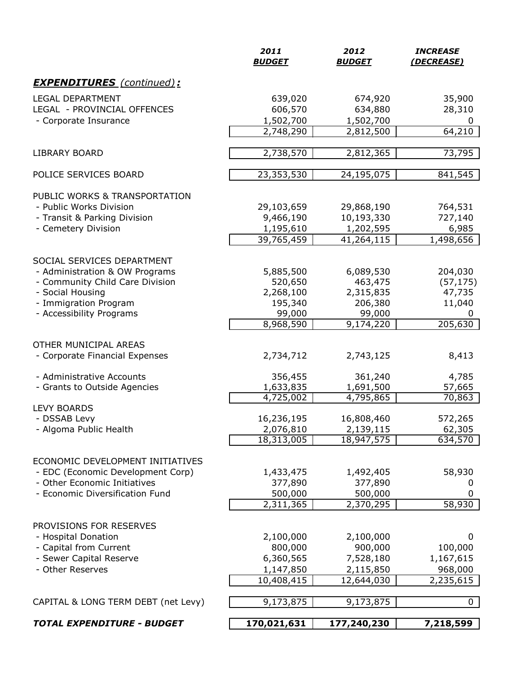|                                                         | 2011<br><b>BUDGET</b>  | 2012<br><b>BUDGET</b>   | <b>INCREASE</b><br>(DECREASE) |
|---------------------------------------------------------|------------------------|-------------------------|-------------------------------|
| <b>EXPENDITURES</b> (continued):                        |                        |                         |                               |
| <b>LEGAL DEPARTMENT</b><br>LEGAL - PROVINCIAL OFFENCES  | 639,020<br>606,570     | 674,920<br>634,880      | 35,900<br>28,310              |
| - Corporate Insurance                                   | 1,502,700<br>2,748,290 | 1,502,700<br>2,812,500  | 0<br>64,210                   |
| <b>LIBRARY BOARD</b>                                    | 2,738,570              | 2,812,365               | 73,795                        |
| POLICE SERVICES BOARD                                   | 23,353,530             | 24,195,075              | 841,545                       |
| PUBLIC WORKS & TRANSPORTATION                           |                        |                         |                               |
| - Public Works Division                                 | 29,103,659             | 29,868,190              | 764,531                       |
| - Transit & Parking Division<br>- Cemetery Division     | 9,466,190<br>1,195,610 | 10,193,330<br>1,202,595 | 727,140<br>6,985              |
|                                                         | 39,765,459             | 41,264,115              | 1,498,656                     |
| SOCIAL SERVICES DEPARTMENT                              |                        |                         |                               |
| - Administration & OW Programs                          | 5,885,500              | 6,089,530               | 204,030                       |
| - Community Child Care Division                         | 520,650                | 463,475                 | (57, 175)                     |
| - Social Housing                                        | 2,268,100              | 2,315,835               | 47,735                        |
| - Immigration Program                                   | 195,340                | 206,380                 | 11,040                        |
| - Accessibility Programs                                | 99,000<br>8,968,590    | 99,000                  | 0<br>205,630                  |
|                                                         |                        | 9,174,220               |                               |
| OTHER MUNICIPAL AREAS<br>- Corporate Financial Expenses | 2,734,712              | 2,743,125               | 8,413                         |
|                                                         |                        |                         |                               |
| - Administrative Accounts                               | 356,455                | 361,240                 | 4,785                         |
| - Grants to Outside Agencies                            | 1,633,835              | 1,691,500               | 57,665                        |
| <b>LEVY BOARDS</b>                                      | 4,725,002              | 4,795,865               | 70,863                        |
| - DSSAB Levy                                            | 16,236,195             | 16,808,460              | 572,265                       |
| - Algoma Public Health                                  | 2,076,810              | 2,139,115               | 62,305                        |
|                                                         | 18,313,005             | 18,947,575              | 634,570                       |
| ECONOMIC DEVELOPMENT INITIATIVES                        |                        |                         |                               |
| - EDC (Economic Development Corp)                       | 1,433,475              | 1,492,405               | 58,930                        |
| - Other Economic Initiatives                            | 377,890                | 377,890                 | 0                             |
| - Economic Diversification Fund                         | 500,000                | 500,000                 | 0                             |
|                                                         | 2,311,365              | 2,370,295               | 58,930                        |
| PROVISIONS FOR RESERVES                                 |                        |                         |                               |
| - Hospital Donation                                     | 2,100,000              | 2,100,000               | 0                             |
| - Capital from Current                                  | 800,000                | 900,000                 | 100,000                       |
| - Sewer Capital Reserve                                 | 6,360,565              | 7,528,180               | 1,167,615                     |
| - Other Reserves                                        | 1,147,850              | 2,115,850               | 968,000                       |
|                                                         | 10,408,415             | 12,644,030              | 2,235,615                     |
| CAPITAL & LONG TERM DEBT (net Levy)                     | 9,173,875              | 9,173,875               | $\mathbf{0}$                  |
| <b>TOTAL EXPENDITURE - BUDGET</b>                       | 170,021,631            | 177,240,230             | 7,218,599                     |